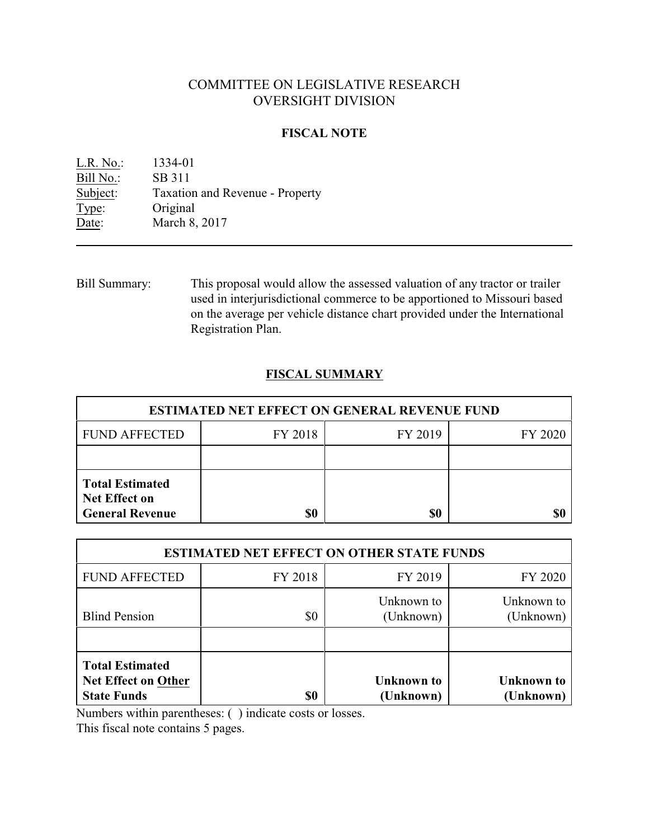# COMMITTEE ON LEGISLATIVE RESEARCH OVERSIGHT DIVISION

### **FISCAL NOTE**

| L.R. No.: | 1334-01                         |
|-----------|---------------------------------|
| Bill No.: | SB 311                          |
| Subject:  | Taxation and Revenue - Property |
| Type:     | Original                        |
| Date:     | March 8, 2017                   |

Bill Summary: This proposal would allow the assessed valuation of any tractor or trailer used in interjurisdictional commerce to be apportioned to Missouri based on the average per vehicle distance chart provided under the International Registration Plan.

## **FISCAL SUMMARY**

| <b>ESTIMATED NET EFFECT ON GENERAL REVENUE FUND</b>                      |         |         |         |
|--------------------------------------------------------------------------|---------|---------|---------|
| <b>FUND AFFECTED</b>                                                     | FY 2018 | FY 2019 | FY 2020 |
|                                                                          |         |         |         |
| <b>Total Estimated</b><br><b>Net Effect on</b><br><b>General Revenue</b> | \$0     | \$0     |         |

| <b>ESTIMATED NET EFFECT ON OTHER STATE FUNDS</b>                           |         |                                |                                |
|----------------------------------------------------------------------------|---------|--------------------------------|--------------------------------|
| <b>FUND AFFECTED</b>                                                       | FY 2018 | FY 2019                        | FY 2020                        |
| <b>Blind Pension</b>                                                       | \$0     | Unknown to<br>(Unknown)        | Unknown to<br>(Unknown)        |
| <b>Total Estimated</b><br><b>Net Effect on Other</b><br><b>State Funds</b> | \$0     | <b>Unknown</b> to<br>(Unknown) | <b>Unknown</b> to<br>(Unknown) |

Numbers within parentheses: ( ) indicate costs or losses.

This fiscal note contains 5 pages.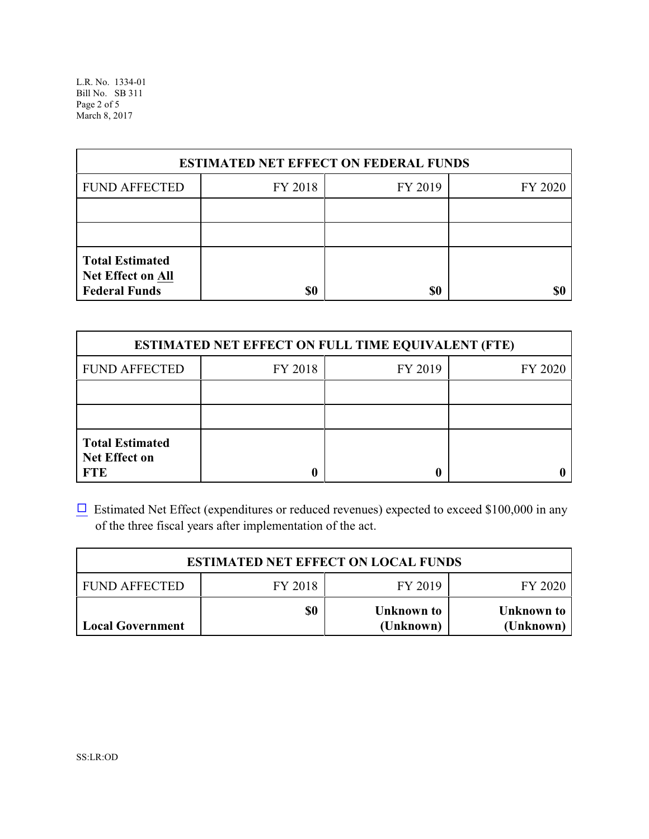L.R. No. 1334-01 Bill No. SB 311 Page 2 of 5 March 8, 2017

| <b>ESTIMATED NET EFFECT ON FEDERAL FUNDS</b>                        |         |         |         |
|---------------------------------------------------------------------|---------|---------|---------|
| <b>FUND AFFECTED</b>                                                | FY 2018 | FY 2019 | FY 2020 |
|                                                                     |         |         |         |
|                                                                     |         |         |         |
| <b>Total Estimated</b><br>Net Effect on All<br><b>Federal Funds</b> | \$0     | \$0     | \$0     |

| <b>ESTIMATED NET EFFECT ON FULL TIME EQUIVALENT (FTE)</b>    |         |         |         |
|--------------------------------------------------------------|---------|---------|---------|
| <b>FUND AFFECTED</b>                                         | FY 2018 | FY 2019 | FY 2020 |
|                                                              |         |         |         |
|                                                              |         |         |         |
| <b>Total Estimated</b><br><b>Net Effect on</b><br><b>FTE</b> |         |         |         |

 $\Box$  Estimated Net Effect (expenditures or reduced revenues) expected to exceed \$100,000 in any of the three fiscal years after implementation of the act.

| <b>ESTIMATED NET EFFECT ON LOCAL FUNDS</b> |         |                         |                         |
|--------------------------------------------|---------|-------------------------|-------------------------|
| <b>FUND AFFECTED</b>                       | FY 2018 | FY 2019                 | FY 2020                 |
| <b>Local Government</b>                    | \$0     | Unknown to<br>(Unknown) | Unknown to<br>(Unknown) |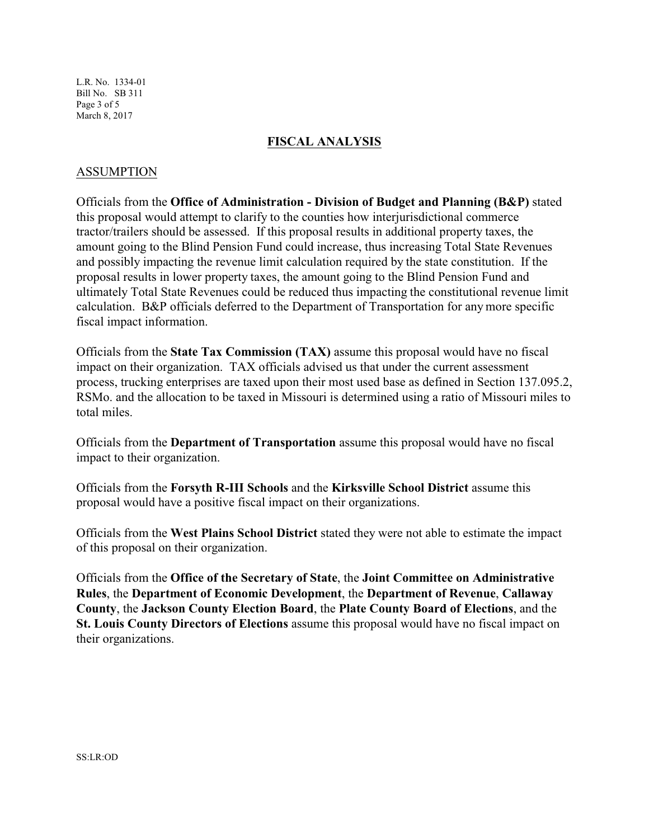L.R. No. 1334-01 Bill No. SB 311 Page 3 of 5 March 8, 2017

#### **FISCAL ANALYSIS**

#### ASSUMPTION

Officials from the **Office of Administration - Division of Budget and Planning (B&P)** stated this proposal would attempt to clarify to the counties how interjurisdictional commerce tractor/trailers should be assessed. If this proposal results in additional property taxes, the amount going to the Blind Pension Fund could increase, thus increasing Total State Revenues and possibly impacting the revenue limit calculation required by the state constitution. If the proposal results in lower property taxes, the amount going to the Blind Pension Fund and ultimately Total State Revenues could be reduced thus impacting the constitutional revenue limit calculation. B&P officials deferred to the Department of Transportation for any more specific fiscal impact information.

Officials from the **State Tax Commission (TAX)** assume this proposal would have no fiscal impact on their organization. TAX officials advised us that under the current assessment process, trucking enterprises are taxed upon their most used base as defined in Section 137.095.2, RSMo. and the allocation to be taxed in Missouri is determined using a ratio of Missouri miles to total miles.

Officials from the **Department of Transportation** assume this proposal would have no fiscal impact to their organization.

Officials from the **Forsyth R-III Schools** and the **Kirksville School District** assume this proposal would have a positive fiscal impact on their organizations.

Officials from the **West Plains School District** stated they were not able to estimate the impact of this proposal on their organization.

Officials from the **Office of the Secretary of State**, the **Joint Committee on Administrative Rules**, the **Department of Economic Development**, the **Department of Revenue**, **Callaway County**, the **Jackson County Election Board**, the **Plate County Board of Elections**, and the **St. Louis County Directors of Elections** assume this proposal would have no fiscal impact on their organizations.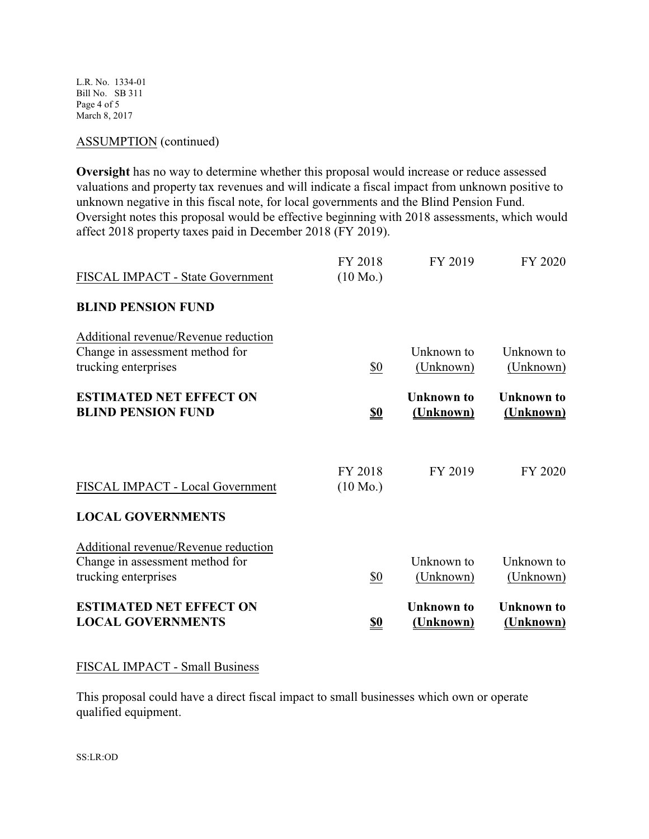L.R. No. 1334-01 Bill No. SB 311 Page 4 of 5 March 8, 2017

#### ASSUMPTION (continued)

**Oversight** has no way to determine whether this proposal would increase or reduce assessed valuations and property tax revenues and will indicate a fiscal impact from unknown positive to unknown negative in this fiscal note, for local governments and the Blind Pension Fund. Oversight notes this proposal would be effective beginning with 2018 assessments, which would affect 2018 property taxes paid in December 2018 (FY 2019).

#### FISCAL IMPACT - Small Business

This proposal could have a direct fiscal impact to small businesses which own or operate qualified equipment.